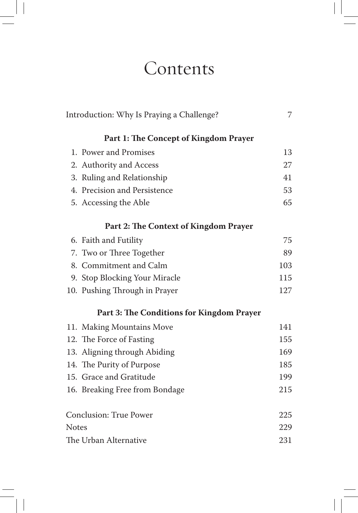# Contents

| Introduction: Why Is Praying a Challenge? | 7   |
|-------------------------------------------|-----|
| Part 1: The Concept of Kingdom Prayer     |     |
| 1. Power and Promises                     | 13  |
| 2. Authority and Access                   | 27  |
| 3. Ruling and Relationship                | 41  |
| 4. Precision and Persistence              | 53  |
| 5. Accessing the Able                     | 65  |
| Part 2: The Context of Kingdom Prayer     |     |
| 6. Faith and Futility                     | 75  |
| 7. Two or Three Together                  | 89  |
| 8. Commitment and Calm                    | 103 |
| 9. Stop Blocking Your Miracle             | 115 |
| 10. Pushing Through in Prayer             | 127 |
| Part 3: The Conditions for Kingdom Prayer |     |
| 11. Making Mountains Move                 | 141 |
| 12. The Force of Fasting                  | 155 |
| 13. Aligning through Abiding              | 169 |
| 14. The Purity of Purpose                 | 185 |
| 15. Grace and Gratitude                   | 199 |
| 16. Breaking Free from Bondage            | 215 |
| <b>Conclusion: True Power</b>             | 225 |
| <b>Notes</b>                              | 229 |
| The Urban Alternative                     | 231 |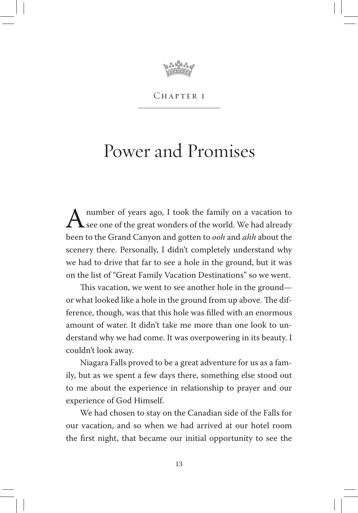

CHAPTER<sub>I</sub>

## Power and Promises

A number of years ago, I took the family on a vacation to<br>see one of the great wonders of the world. We had already<br>heap to the Grand Canyon and gatten to sok and akk about the see one of the great wonders of the world. We had already been to the Grand Canyon and gotten to *ooh* and *ahh* about the scenery there. Personally, I didn't completely understand why we had to drive that far to see a hole in the ground, but it was on the list of "Great Family Vacation Destinations" so we went.

This vacation, we went to see another hole in the ground or what looked like a hole in the ground from up above. The difference, though, was that this hole was filled with an enormous amount of water. It didn't take me more than one look to understand why we had come. It was overpowering in its beauty. I couldn't look away.

Niagara Falls proved to be a great adventure for us as a family, but as we spent a few days there, something else stood out to me about the experience in relationship to prayer and our experience of God Himself.

We had chosen to stay on the Canadian side of the Falls for our vacation, and so when we had arrived at our hotel room the first night, that became our initial opportunity to see the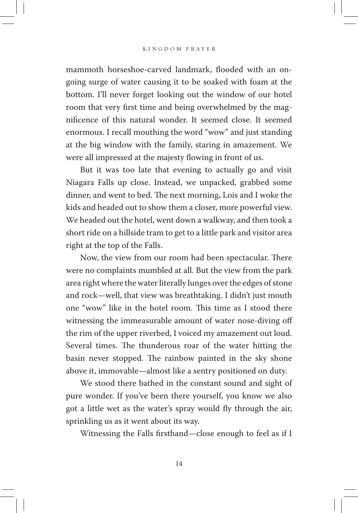mammoth horseshoe-carved landmark, flooded with an ongoing surge of water causing it to be soaked with foam at the bottom. I'll never forget looking out the window of our hotel room that very first time and being overwhelmed by the magnificence of this natural wonder. It seemed close. It seemed enormous. I recall mouthing the word "wow" and just standing at the big window with the family, staring in amazement. We were all impressed at the majesty flowing in front of us.

But it was too late that evening to actually go and visit Niagara Falls up close. Instead, we unpacked, grabbed some dinner, and went to bed. The next morning, Lois and I woke the kids and headed out to show them a closer, more powerful view. We headed out the hotel, went down a walkway, and then took a short ride on a hillside tram to get to a little park and visitor area right at the top of the Falls.

Now, the view from our room had been spectacular. There were no complaints mumbled at all. But the view from the park area right where the water literally lunges over the edges of stone and rock—well, that view was breathtaking. I didn't just mouth one "wow" like in the hotel room. This time as I stood there witnessing the immeasurable amount of water nose-diving off the rim of the upper riverbed, I voiced my amazement out loud. Several times. The thunderous roar of the water hitting the basin never stopped. The rainbow painted in the sky shone above it, immovable—almost like a sentry positioned on duty.

We stood there bathed in the constant sound and sight of pure wonder. If you've been there yourself, you know we also got a little wet as the water's spray would fly through the air, sprinkling us as it went about its way.

Witnessing the Falls firsthand—close enough to feel as if I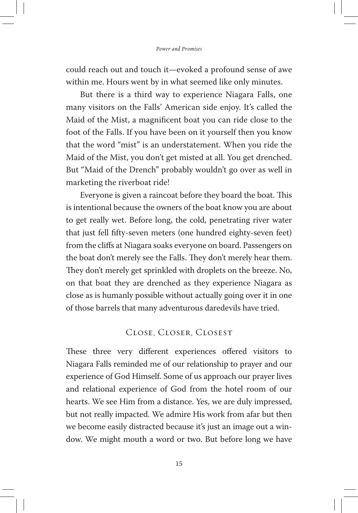could reach out and touch it—evoked a profound sense of awe within me. Hours went by in what seemed like only minutes.

But there is a third way to experience Niagara Falls, one many visitors on the Falls' American side enjoy. It's called the Maid of the Mist, a magnificent boat you can ride close to the foot of the Falls. If you have been on it yourself then you know that the word "mist" is an understatement. When you ride the Maid of the Mist, you don't get misted at all. You get drenched. But "Maid of the Drench" probably wouldn't go over as well in marketing the riverboat ride!

Everyone is given a raincoat before they board the boat. This is intentional because the owners of the boat know you are about to get really wet. Before long, the cold, penetrating river water that just fell fifty-seven meters (one hundred eighty-seven feet) from the cliffs at Niagara soaks everyone on board. Passengers on the boat don't merely see the Falls. They don't merely hear them. They don't merely get sprinkled with droplets on the breeze. No, on that boat they are drenched as they experience Niagara as close as is humanly possible without actually going over it in one of those barrels that many adventurous daredevils have tried.

### Close, Closer, Closest

These three very different experiences offered visitors to Niagara Falls reminded me of our relationship to prayer and our experience of God Himself. Some of us approach our prayer lives and relational experience of God from the hotel room of our hearts. We see Him from a distance. Yes, we are duly impressed, but not really impacted. We admire His work from afar but then we become easily distracted because it's just an image out a window. We might mouth a word or two. But before long we have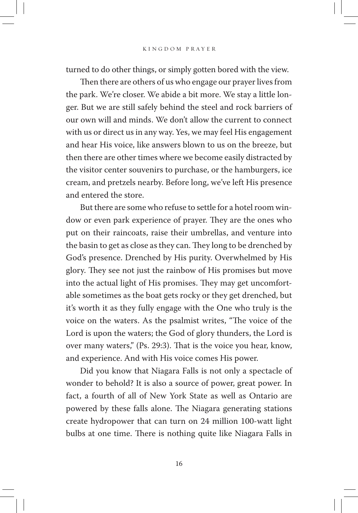turned to do other things, or simply gotten bored with the view.

Then there are others of us who engage our prayer lives from the park. We're closer. We abide a bit more. We stay a little longer. But we are still safely behind the steel and rock barriers of our own will and minds. We don't allow the current to connect with us or direct us in any way. Yes, we may feel His engagement and hear His voice, like answers blown to us on the breeze, but then there are other times where we become easily distracted by the visitor center souvenirs to purchase, or the hamburgers, ice cream, and pretzels nearby. Before long, we've left His presence and entered the store.

But there are some who refuse to settle for a hotel room window or even park experience of prayer. They are the ones who put on their raincoats, raise their umbrellas, and venture into the basin to get as close as they can. They long to be drenched by God's presence. Drenched by His purity. Overwhelmed by His glory. They see not just the rainbow of His promises but move into the actual light of His promises. They may get uncomfortable sometimes as the boat gets rocky or they get drenched, but it's worth it as they fully engage with the One who truly is the voice on the waters. As the psalmist writes, "The voice of the Lord is upon the waters; the God of glory thunders, the Lord is over many waters," (Ps. 29:3). That is the voice you hear, know, and experience. And with His voice comes His power.

Did you know that Niagara Falls is not only a spectacle of wonder to behold? It is also a source of power, great power. In fact, a fourth of all of New York State as well as Ontario are powered by these falls alone. The Niagara generating stations create hydropower that can turn on 24 million 100-watt light bulbs at one time. There is nothing quite like Niagara Falls in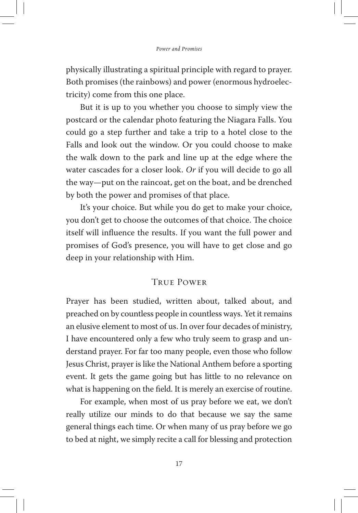physically illustrating a spiritual principle with regard to prayer. Both promises (the rainbows) and power (enormous hydroelectricity) come from this one place.

But it is up to you whether you choose to simply view the postcard or the calendar photo featuring the Niagara Falls. You could go a step further and take a trip to a hotel close to the Falls and look out the window. Or you could choose to make the walk down to the park and line up at the edge where the water cascades for a closer look. *Or* if you will decide to go all the way—put on the raincoat, get on the boat, and be drenched by both the power and promises of that place.

It's your choice. But while you do get to make your choice, you don't get to choose the outcomes of that choice. The choice itself will influence the results. If you want the full power and promises of God's presence, you will have to get close and go deep in your relationship with Him.

#### True Power

Prayer has been studied, written about, talked about, and preached on by countless people in countless ways. Yet it remains an elusive element to most of us. In over four decades of ministry, I have encountered only a few who truly seem to grasp and understand prayer. For far too many people, even those who follow Jesus Christ, prayer is like the National Anthem before a sporting event. It gets the game going but has little to no relevance on what is happening on the field. It is merely an exercise of routine.

For example, when most of us pray before we eat, we don't really utilize our minds to do that because we say the same general things each time. Or when many of us pray before we go to bed at night, we simply recite a call for blessing and protection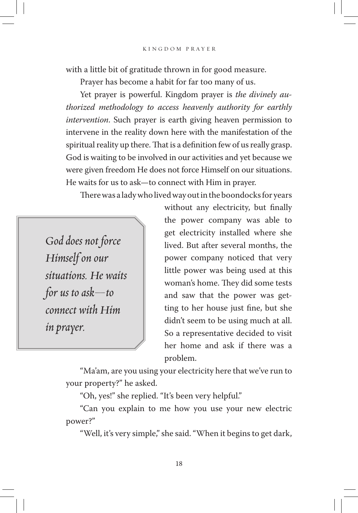with a little bit of gratitude thrown in for good measure.

Prayer has become a habit for far too many of us.

Yet prayer is powerful. Kingdom prayer is *the divinely authorized methodology to access heavenly authority for earthly intervention*. Such prayer is earth giving heaven permission to intervene in the reality down here with the manifestation of the spiritual reality up there. That is a definition few of us really grasp. God is waiting to be involved in our activities and yet because we were given freedom He does not force Himself on our situations. He waits for us to ask—to connect with Him in prayer.

There was a lady who lived way out in the boondocks for years

*God does not force Himself on our situations. He waits for us to ask—to connect with Him in prayer.*

without any electricity, but finally the power company was able to get electricity installed where she lived. But after several months, the power company noticed that very little power was being used at this woman's home. They did some tests and saw that the power was getting to her house just fine, but she didn't seem to be using much at all. So a representative decided to visit her home and ask if there was a problem.

"Ma'am, are you using your electricity here that we've run to your property?" he asked.

"Oh, yes!" she replied. "It's been very helpful."

"Can you explain to me how you use your new electric power?"

"Well, it's very simple," she said. "When it begins to get dark,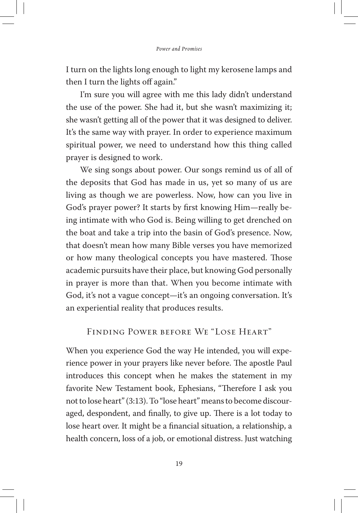I turn on the lights long enough to light my kerosene lamps and then I turn the lights off again."

I'm sure you will agree with me this lady didn't understand the use of the power. She had it, but she wasn't maximizing it; she wasn't getting all of the power that it was designed to deliver. It's the same way with prayer. In order to experience maximum spiritual power, we need to understand how this thing called prayer is designed to work.

We sing songs about power. Our songs remind us of all of the deposits that God has made in us, yet so many of us are living as though we are powerless. Now, how can you live in God's prayer power? It starts by first knowing Him—really being intimate with who God is. Being willing to get drenched on the boat and take a trip into the basin of God's presence. Now, that doesn't mean how many Bible verses you have memorized or how many theological concepts you have mastered. Those academic pursuits have their place, but knowing God personally in prayer is more than that. When you become intimate with God, it's not a vague concept—it's an ongoing conversation. It's an experiential reality that produces results.

#### Finding Power before We "Lose Heart"

When you experience God the way He intended, you will experience power in your prayers like never before. The apostle Paul introduces this concept when he makes the statement in my favorite New Testament book, Ephesians, "Therefore I ask you not to lose heart" (3:13). To "lose heart" means to become discouraged, despondent, and finally, to give up. There is a lot today to lose heart over. It might be a financial situation, a relationship, a health concern, loss of a job, or emotional distress. Just watching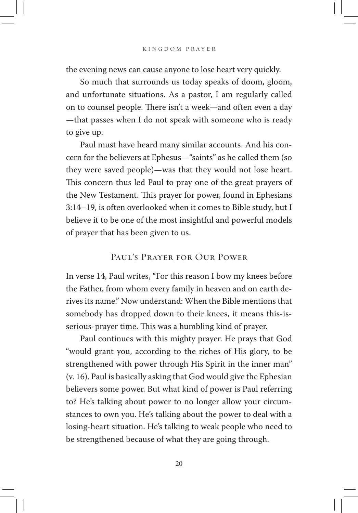the evening news can cause anyone to lose heart very quickly.

So much that surrounds us today speaks of doom, gloom, and unfortunate situations. As a pastor, I am regularly called on to counsel people. There isn't a week—and often even a day —that passes when I do not speak with someone who is ready to give up.

Paul must have heard many similar accounts. And his concern for the believers at Ephesus—"saints" as he called them (so they were saved people)—was that they would not lose heart. This concern thus led Paul to pray one of the great prayers of the New Testament. This prayer for power, found in Ephesians 3:14–19, is often overlooked when it comes to Bible study, but I believe it to be one of the most insightful and powerful models of prayer that has been given to us.

#### Paul's Prayer for Our Power

In verse 14, Paul writes, "For this reason I bow my knees before the Father, from whom every family in heaven and on earth derives its name." Now understand: When the Bible mentions that somebody has dropped down to their knees, it means this-isserious-prayer time. This was a humbling kind of prayer.

Paul continues with this mighty prayer. He prays that God "would grant you, according to the riches of His glory, to be strengthened with power through His Spirit in the inner man" (v. 16). Paul is basically asking that God would give the Ephesian believers some power. But what kind of power is Paul referring to? He's talking about power to no longer allow your circumstances to own you. He's talking about the power to deal with a losing-heart situation. He's talking to weak people who need to be strengthened because of what they are going through.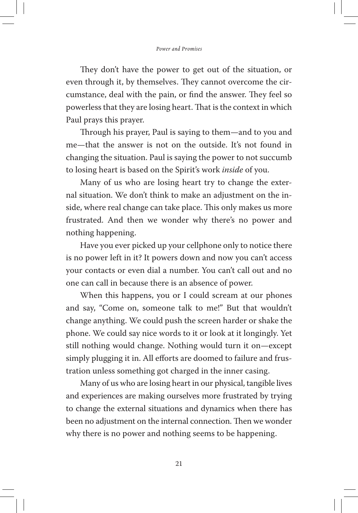They don't have the power to get out of the situation, or even through it, by themselves. They cannot overcome the circumstance, deal with the pain, or find the answer. They feel so powerless that they are losing heart. That is the context in which Paul prays this prayer.

Through his prayer, Paul is saying to them—and to you and me—that the answer is not on the outside. It's not found in changing the situation. Paul is saying the power to not succumb to losing heart is based on the Spirit's work *inside* of you.

Many of us who are losing heart try to change the external situation. We don't think to make an adjustment on the inside, where real change can take place. This only makes us more frustrated. And then we wonder why there's no power and nothing happening.

Have you ever picked up your cellphone only to notice there is no power left in it? It powers down and now you can't access your contacts or even dial a number. You can't call out and no one can call in because there is an absence of power.

When this happens, you or I could scream at our phones and say, "Come on, someone talk to me!" But that wouldn't change anything. We could push the screen harder or shake the phone. We could say nice words to it or look at it longingly. Yet still nothing would change. Nothing would turn it on—except simply plugging it in. All efforts are doomed to failure and frustration unless something got charged in the inner casing.

Many of us who are losing heart in our physical, tangible lives and experiences are making ourselves more frustrated by trying to change the external situations and dynamics when there has been no adjustment on the internal connection. Then we wonder why there is no power and nothing seems to be happening.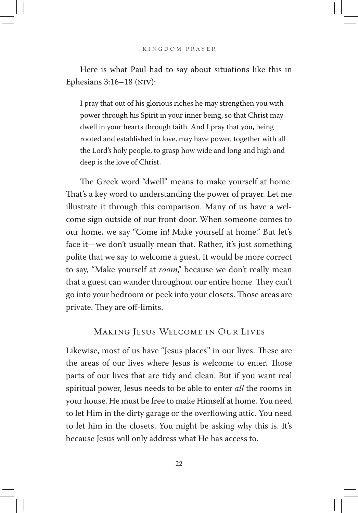Here is what Paul had to say about situations like this in Ephesians  $3:16-18$  (NIV):

I pray that out of his glorious riches he may strengthen you with power through his Spirit in your inner being, so that Christ may dwell in your hearts through faith. And I pray that you, being rooted and established in love, may have power, together with all the Lord's holy people, to grasp how wide and long and high and deep is the love of Christ.

The Greek word "dwell" means to make yourself at home. That's a key word to understanding the power of prayer. Let me illustrate it through this comparison. Many of us have a welcome sign outside of our front door. When someone comes to our home, we say "Come in! Make yourself at home." But let's face it—we don't usually mean that. Rather, it's just something polite that we say to welcome a guest. It would be more correct to say, "Make yourself at *room*," because we don't really mean that a guest can wander throughout our entire home. They can't go into your bedroom or peek into your closets. Those areas are private. They are off-limits.

#### Making Jesus Welcome in Our Lives

Likewise, most of us have "Jesus places" in our lives. These are the areas of our lives where Jesus is welcome to enter. Those parts of our lives that are tidy and clean. But if you want real spiritual power, Jesus needs to be able to enter *all* the rooms in your house. He must be free to make Himself at home. You need to let Him in the dirty garage or the overflowing attic. You need to let him in the closets. You might be asking why this is. It's because Jesus will only address what He has access to.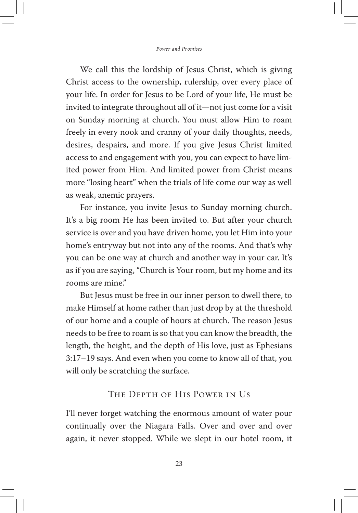We call this the lordship of Jesus Christ, which is giving Christ access to the ownership, rulership, over every place of your life. In order for Jesus to be Lord of your life, He must be invited to integrate throughout all of it—not just come for a visit on Sunday morning at church. You must allow Him to roam freely in every nook and cranny of your daily thoughts, needs, desires, despairs, and more. If you give Jesus Christ limited access to and engagement with you, you can expect to have limited power from Him. And limited power from Christ means more "losing heart" when the trials of life come our way as well as weak, anemic prayers.

For instance, you invite Jesus to Sunday morning church. It's a big room He has been invited to. But after your church service is over and you have driven home, you let Him into your home's entryway but not into any of the rooms. And that's why you can be one way at church and another way in your car. It's as if you are saying, "Church is Your room, but my home and its rooms are mine."

But Jesus must be free in our inner person to dwell there, to make Himself at home rather than just drop by at the threshold of our home and a couple of hours at church. The reason Jesus needs to be free to roam is so that you can know the breadth, the length, the height, and the depth of His love, just as Ephesians 3:17–19 says. And even when you come to know all of that, you will only be scratching the surface.

#### The Depth of His Power in Us

I'll never forget watching the enormous amount of water pour continually over the Niagara Falls. Over and over and over again, it never stopped. While we slept in our hotel room, it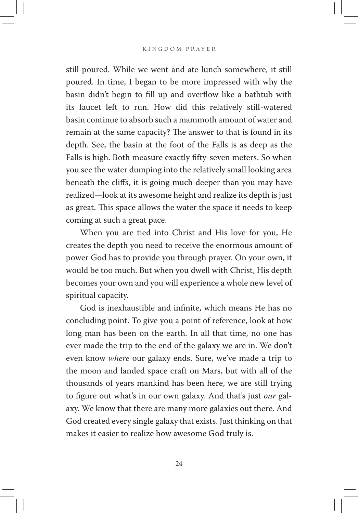still poured. While we went and ate lunch somewhere, it still poured. In time, I began to be more impressed with why the basin didn't begin to fill up and overflow like a bathtub with its faucet left to run. How did this relatively still-watered basin continue to absorb such a mammoth amount of water and remain at the same capacity? The answer to that is found in its depth. See, the basin at the foot of the Falls is as deep as the Falls is high. Both measure exactly fifty-seven meters. So when you see the water dumping into the relatively small looking area beneath the cliffs, it is going much deeper than you may have realized—look at its awesome height and realize its depth is just as great. This space allows the water the space it needs to keep coming at such a great pace.

When you are tied into Christ and His love for you, He creates the depth you need to receive the enormous amount of power God has to provide you through prayer. On your own, it would be too much. But when you dwell with Christ, His depth becomes your own and you will experience a whole new level of spiritual capacity.

God is inexhaustible and infinite, which means He has no concluding point. To give you a point of reference, look at how long man has been on the earth. In all that time, no one has ever made the trip to the end of the galaxy we are in. We don't even know *where* our galaxy ends. Sure, we've made a trip to the moon and landed space craft on Mars, but with all of the thousands of years mankind has been here, we are still trying to figure out what's in our own galaxy. And that's just *our* galaxy. We know that there are many more galaxies out there. And God created every single galaxy that exists. Just thinking on that makes it easier to realize how awesome God truly is.